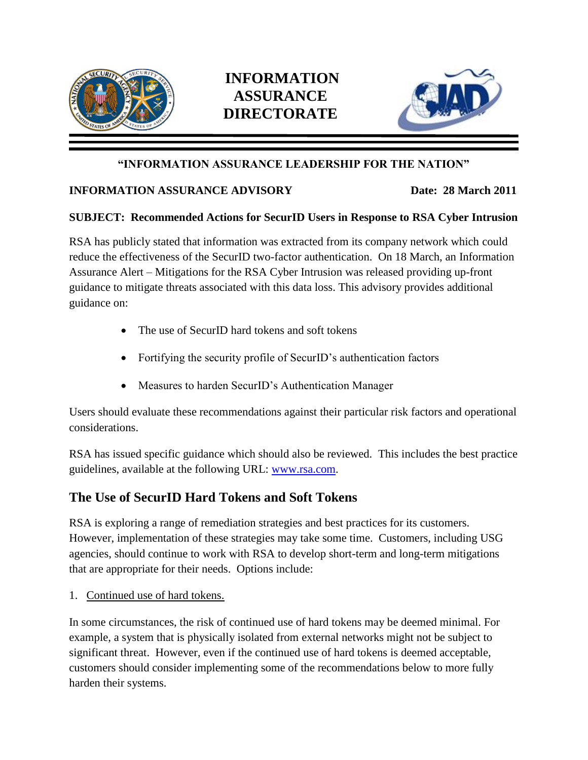

# **INFORMATION ASSURANCE DIRECTORATE**



#### **"INFORMATION ASSURANCE LEADERSHIP FOR THE NATION"**

#### **INFORMATION ASSURANCE ADVISORY Date: 28 March 2011**

#### **SUBJECT: Recommended Actions for SecurID Users in Response to RSA Cyber Intrusion**

RSA has publicly stated that information was extracted from its company network which could reduce the effectiveness of the SecurID two-factor authentication. On 18 March, an Information Assurance Alert – Mitigations for the RSA Cyber Intrusion was released providing up-front guidance to mitigate threats associated with this data loss. This advisory provides additional guidance on:

- The use of SecurID hard tokens and soft tokens
- Fortifying the security profile of SecurID's authentication factors
- Measures to harden SecurID's Authentication Manager

Users should evaluate these recommendations against their particular risk factors and operational considerations.

RSA has issued specific guidance which should also be reviewed. This includes the best practice guidelines, available at the following URL: [www.rsa.com.](http://www.rsa.com/)

### **The Use of SecurID Hard Tokens and Soft Tokens**

RSA is exploring a range of remediation strategies and best practices for its customers. However, implementation of these strategies may take some time. Customers, including USG agencies, should continue to work with RSA to develop short-term and long-term mitigations that are appropriate for their needs. Options include:

1. Continued use of hard tokens.

In some circumstances, the risk of continued use of hard tokens may be deemed minimal. For example, a system that is physically isolated from external networks might not be subject to significant threat. However, even if the continued use of hard tokens is deemed acceptable, customers should consider implementing some of the recommendations below to more fully harden their systems.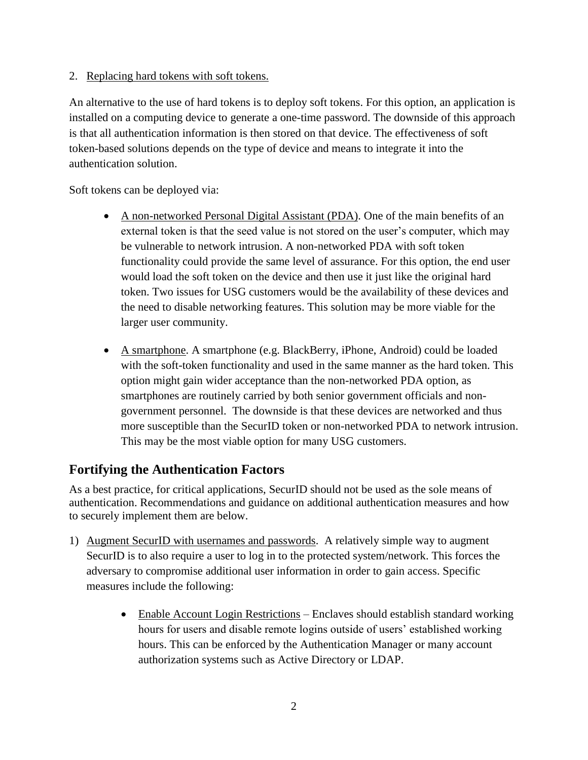2. Replacing hard tokens with soft tokens.

An alternative to the use of hard tokens is to deploy soft tokens. For this option, an application is installed on a computing device to generate a one-time password. The downside of this approach is that all authentication information is then stored on that device. The effectiveness of soft token-based solutions depends on the type of device and means to integrate it into the authentication solution.

Soft tokens can be deployed via:

- A non-networked Personal Digital Assistant (PDA). One of the main benefits of an external token is that the seed value is not stored on the user's computer, which may be vulnerable to network intrusion. A non-networked PDA with soft token functionality could provide the same level of assurance. For this option, the end user would load the soft token on the device and then use it just like the original hard token. Two issues for USG customers would be the availability of these devices and the need to disable networking features. This solution may be more viable for the larger user community.
- A smartphone. A smartphone (e.g. BlackBerry, iPhone, Android) could be loaded with the soft-token functionality and used in the same manner as the hard token. This option might gain wider acceptance than the non-networked PDA option, as smartphones are routinely carried by both senior government officials and nongovernment personnel. The downside is that these devices are networked and thus more susceptible than the SecurID token or non-networked PDA to network intrusion. This may be the most viable option for many USG customers.

## **Fortifying the Authentication Factors**

As a best practice, for critical applications, SecurID should not be used as the sole means of authentication. Recommendations and guidance on additional authentication measures and how to securely implement them are below.

- 1) Augment SecurID with usernames and passwords. A relatively simple way to augment SecurID is to also require a user to log in to the protected system/network. This forces the adversary to compromise additional user information in order to gain access. Specific measures include the following:
	- Enable Account Login Restrictions Enclaves should establish standard working hours for users and disable remote logins outside of users' established working hours. This can be enforced by the Authentication Manager or many account authorization systems such as Active Directory or LDAP.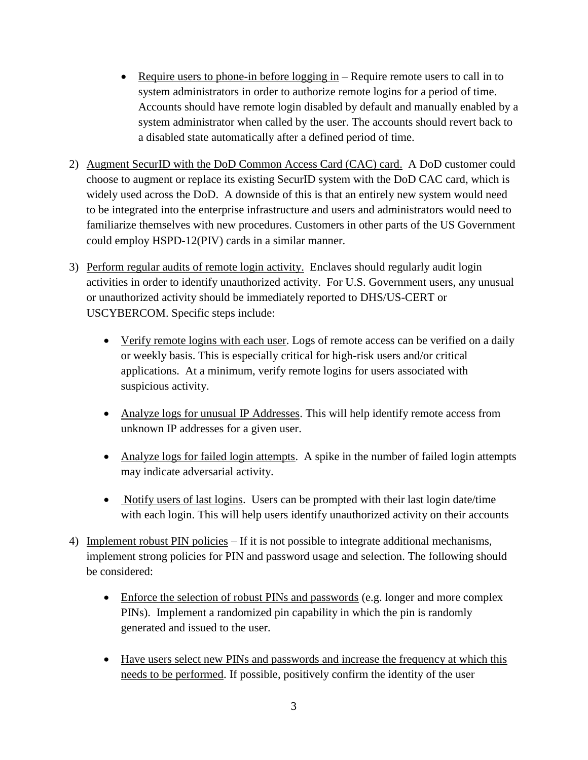- Require users to phone-in before  $\log \frac{e}{e}$  in Require remote users to call in to system administrators in order to authorize remote logins for a period of time. Accounts should have remote login disabled by default and manually enabled by a system administrator when called by the user. The accounts should revert back to a disabled state automatically after a defined period of time.
- 2) Augment SecurID with the DoD Common Access Card (CAC) card. A DoD customer could choose to augment or replace its existing SecurID system with the DoD CAC card, which is widely used across the DoD. A downside of this is that an entirely new system would need to be integrated into the enterprise infrastructure and users and administrators would need to familiarize themselves with new procedures. Customers in other parts of the US Government could employ HSPD-12(PIV) cards in a similar manner.
- 3) Perform regular audits of remote login activity. Enclaves should regularly audit login activities in order to identify unauthorized activity. For U.S. Government users, any unusual or unauthorized activity should be immediately reported to DHS/US-CERT or USCYBERCOM. Specific steps include:
	- Verify remote logins with each user. Logs of remote access can be verified on a daily or weekly basis. This is especially critical for high-risk users and/or critical applications. At a minimum, verify remote logins for users associated with suspicious activity.
	- Analyze logs for unusual IP Addresses. This will help identify remote access from unknown IP addresses for a given user.
	- Analyze logs for failed login attempts. A spike in the number of failed login attempts may indicate adversarial activity.
	- Notify users of last logins. Users can be prompted with their last login date/time with each login. This will help users identify unauthorized activity on their accounts
- 4) Implement robust PIN policies If it is not possible to integrate additional mechanisms, implement strong policies for PIN and password usage and selection. The following should be considered:
	- Enforce the selection of robust PINs and passwords (e.g. longer and more complex PINs). Implement a randomized pin capability in which the pin is randomly generated and issued to the user.
	- Have users select new PINs and passwords and increase the frequency at which this needs to be performed. If possible, positively confirm the identity of the user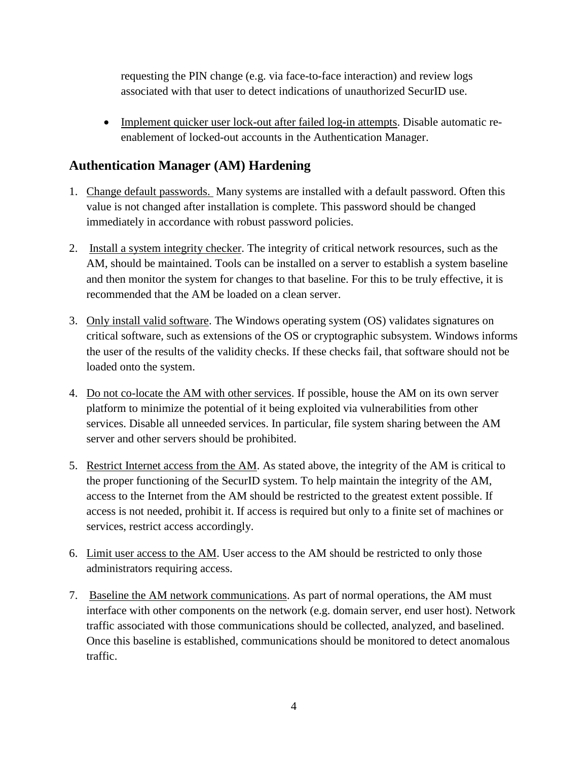requesting the PIN change (e.g. via face-to-face interaction) and review logs associated with that user to detect indications of unauthorized SecurID use.

• Implement quicker user lock-out after failed log-in attempts. Disable automatic reenablement of locked-out accounts in the Authentication Manager.

## **Authentication Manager (AM) Hardening**

- 1. Change default passwords. Many systems are installed with a default password. Often this value is not changed after installation is complete. This password should be changed immediately in accordance with robust password policies.
- 2. Install a system integrity checker. The integrity of critical network resources, such as the AM, should be maintained. Tools can be installed on a server to establish a system baseline and then monitor the system for changes to that baseline. For this to be truly effective, it is recommended that the AM be loaded on a clean server.
- 3. Only install valid software. The Windows operating system (OS) validates signatures on critical software, such as extensions of the OS or cryptographic subsystem. Windows informs the user of the results of the validity checks. If these checks fail, that software should not be loaded onto the system.
- 4. Do not co-locate the AM with other services. If possible, house the AM on its own server platform to minimize the potential of it being exploited via vulnerabilities from other services. Disable all unneeded services. In particular, file system sharing between the AM server and other servers should be prohibited.
- 5. Restrict Internet access from the AM. As stated above, the integrity of the AM is critical to the proper functioning of the SecurID system. To help maintain the integrity of the AM, access to the Internet from the AM should be restricted to the greatest extent possible. If access is not needed, prohibit it. If access is required but only to a finite set of machines or services, restrict access accordingly.
- 6. Limit user access to the AM. User access to the AM should be restricted to only those administrators requiring access.
- 7. Baseline the AM network communications. As part of normal operations, the AM must interface with other components on the network (e.g. domain server, end user host). Network traffic associated with those communications should be collected, analyzed, and baselined. Once this baseline is established, communications should be monitored to detect anomalous traffic.